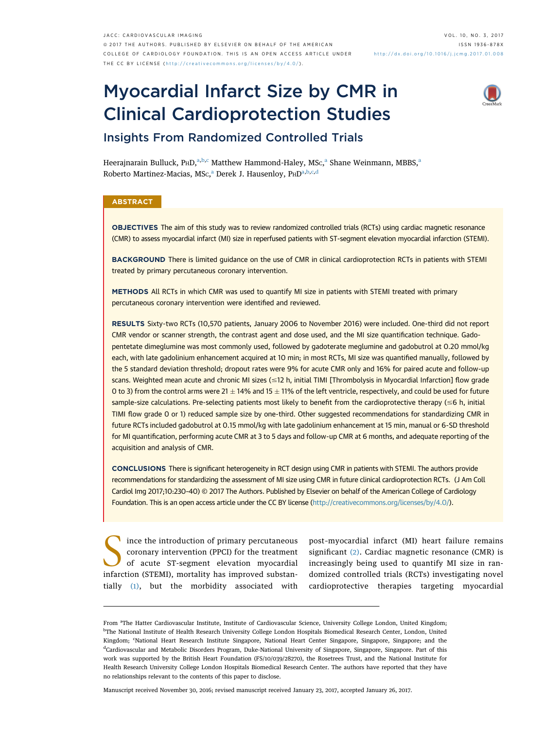# Myocardial Infarct Size by CMR in Clinical Cardioprotection Studies



# Insights From Randomized Controlled Trials

Heerajnarain Bulluck, PHD,<sup>a,b,c</sup> Matthew Hammond-Haley, MSc,<sup>a</sup> Shane Weinmann, MBBS,<sup>a</sup> Roberto Martinez-Macias, MSc,<sup>a</sup> Derek J. Hausenloy, P $\text{\tiny HD}^{\text{a}, \text{b}, \text{c}, \text{d}}$ 

# **ABSTRACT**

OBJECTIVES The aim of this study was to review randomized controlled trials (RCTs) using cardiac magnetic resonance (CMR) to assess myocardial infarct (MI) size in reperfused patients with ST-segment elevation myocardial infarction (STEMI).

BACKGROUND There is limited guidance on the use of CMR in clinical cardioprotection RCTs in patients with STEMI treated by primary percutaneous coronary intervention.

METHODS All RCTs in which CMR was used to quantify MI size in patients with STEMI treated with primary percutaneous coronary intervention were identified and reviewed.

RESULTS Sixty-two RCTs (10,570 patients, January 2006 to November 2016) were included. One-third did not report CMR vendor or scanner strength, the contrast agent and dose used, and the MI size quantification technique. Gadopentetate dimeglumine was most commonly used, followed by gadoterate meglumine and gadobutrol at 0.20 mmol/kg each, with late gadolinium enhancement acquired at 10 min; in most RCTs, MI size was quantified manually, followed by the 5 standard deviation threshold; dropout rates were 9% for acute CMR only and 16% for paired acute and follow-up scans. Weighted mean acute and chronic MI sizes (<12 h, initial TIMI [Thrombolysis in Myocardial Infarction] flow grade 0 to 3) from the control arms were 21  $\pm$  14% and 15  $\pm$  11% of the left ventricle, respectively, and could be used for future sample-size calculations. Pre-selecting patients most likely to benefit from the cardioprotective therapy ( $\leq 6$  h, initial TIMI flow grade 0 or 1) reduced sample size by one-third. Other suggested recommendations for standardizing CMR in future RCTs included gadobutrol at 0.15 mmol/kg with late gadolinium enhancement at 15 min, manual or 6-SD threshold for MI quantification, performing acute CMR at 3 to 5 days and follow-up CMR at 6 months, and adequate reporting of the acquisition and analysis of CMR.

CONCLUSIONS There is significant heterogeneity in RCT design using CMR in patients with STEMI. The authors provide recommendations for standardizing the assessment of MI size using CMR in future clinical cardioprotection RCTs. (J Am Coll Cardiol Img 2017;10:230–40) © 2017 The Authors. Published by Elsevier on behalf of the American College of Cardiology Foundation. This is an open access article under the CC BY license [\(http://creativecommons.org/licenses/by/4.0/\)](http://creativecommons.org/licenses/by/4.0/).

Since the introduction of primary percutaneous<br>coronary intervention (PPCI) for the treatment<br>of acute ST-segment elevation myocardial<br>infarction (STEMI) mortality has improved substancoronary intervention (PPCI) for the treatment of acute ST-segment elevation myocardial infarction (STEMI), mortality has improved substantially [\(1\),](#page-8-0) but the morbidity associated with

post–myocardial infarct (MI) heart failure remains significant [\(2\).](#page-8-0) Cardiac magnetic resonance (CMR) is increasingly being used to quantify MI size in randomized controlled trials (RCTs) investigating novel cardioprotective therapies targeting myocardial

Manuscript received November 30, 2016; revised manuscript received January 23, 2017, accepted January 26, 2017.

From <sup>a</sup>The Hatter Cardiovascular Institute, Institute of Cardiovascular Science, University College London, United Kingdom; b The National Institute of Health Research University College London Hospitals Biomedical Research Center, London, United Kingdom; <sup>c</sup>National Heart Research Institute Singapore, National Heart Center Singapore, Singapore, Singapore; and the <sup>d</sup>Cardiovascular and Metabolic Disorders Program, Duke-National University of Singapore, Singapore, Singapore. Part of this work was supported by the British Heart Foundation (FS/10/039/28270), the Rosetrees Trust, and the National Institute for Health Research University College London Hospitals Biomedical Research Center. The authors have reported that they have no relationships relevant to the contents of this paper to disclose.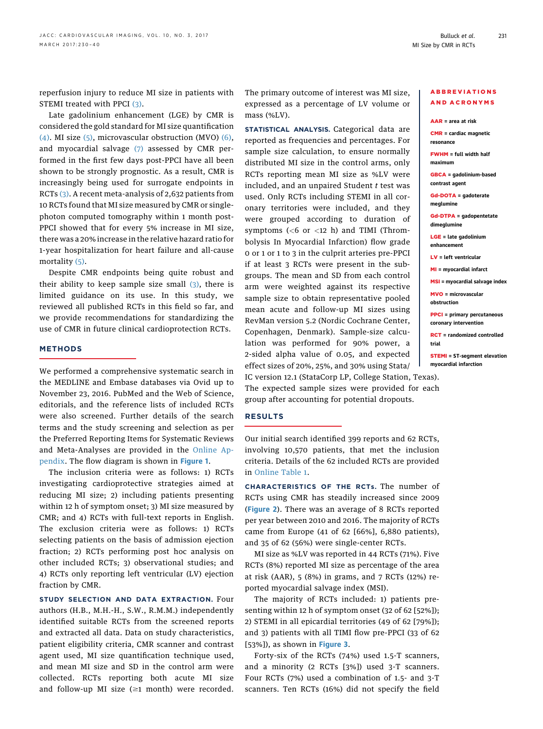reperfusion injury to reduce MI size in patients with STEMI treated with PPCI [\(3\)](#page-8-0).

Late gadolinium enhancement (LGE) by CMR is considered the gold standard for MI size quantification [\(4\).](#page-8-0) MI size [\(5\)](#page-9-0), microvascular obstruction (MVO) [\(6\),](#page-9-0) and myocardial salvage [\(7\)](#page-9-0) assessed by CMR performed in the first few days post-PPCI have all been shown to be strongly prognostic. As a result, CMR is increasingly being used for surrogate endpoints in RCTs [\(3\)](#page-8-0). A recent meta-analysis of 2,632 patients from 10 RCTs found that MI size measured by CMR or singlephoton computed tomography within 1 month post-PPCI showed that for every 5% increase in MI size, there was a 20% increase in the relative hazard ratio for 1-year hospitalization for heart failure and all-cause mortality [\(5\).](#page-9-0)

Despite CMR endpoints being quite robust and their ability to keep sample size small  $(3)$ , there is limited guidance on its use. In this study, we reviewed all published RCTs in this field so far, and we provide recommendations for standardizing the use of CMR in future clinical cardioprotection RCTs.

# METHODS

We performed a comprehensive systematic search in the MEDLINE and Embase databases via Ovid up to November 23, 2016. PubMed and the Web of Science, editorials, and the reference lists of included RCTs were also screened. Further details of the search terms and the study screening and selection as per the Preferred Reporting Items for Systematic Reviews and Meta-Analyses are provided in the [Online Ap](http://dx.doi.org/10.1016/j.jcmg.2017.01.008)[pendix.](http://dx.doi.org/10.1016/j.jcmg.2017.01.008) The flow diagram is shown in [Figure 1](#page-2-0).

The inclusion criteria were as follows: 1) RCTs investigating cardioprotective strategies aimed at reducing MI size; 2) including patients presenting within 12 h of symptom onset; 3) MI size measured by CMR; and 4) RCTs with full-text reports in English. The exclusion criteria were as follows: 1) RCTs selecting patients on the basis of admission ejection fraction; 2) RCTs performing post hoc analysis on other included RCTs; 3) observational studies; and 4) RCTs only reporting left ventricular (LV) ejection fraction by CMR.

STUDY SELECTION AND DATA EXTRACTION. Four authors (H.B., M.H.-H., S.W., R.M.M.) independently identified suitable RCTs from the screened reports and extracted all data. Data on study characteristics, patient eligibility criteria, CMR scanner and contrast agent used, MI size quantification technique used, and mean MI size and SD in the control arm were collected. RCTs reporting both acute MI size and follow-up MI size  $(\geq 1$  month) were recorded. The primary outcome of interest was MI size, expressed as a percentage of LV volume or mass (%LV).

STATISTICAL ANALYSIS. Categorical data are reported as frequencies and percentages. For sample size calculation, to ensure normally distributed MI size in the control arms, only RCTs reporting mean MI size as %LV were included, and an unpaired Student  $t$  test was used. Only RCTs including STEMI in all coronary territories were included, and they were grouped according to duration of symptoms  $( $6$  or  $<$ 12 h) and TIMI (Throm$ bolysis In Myocardial Infarction) flow grade 0 or 1 or 1 to 3 in the culprit arteries pre-PPCI if at least 3 RCTs were present in the subgroups. The mean and SD from each control arm were weighted against its respective sample size to obtain representative pooled mean acute and follow-up MI sizes using RevMan version 5.2 (Nordic Cochrane Center, Copenhagen, Denmark). Sample-size calculation was performed for 90% power, a 2-sided alpha value of 0.05, and expected effect sizes of 20%, 25%, and 30% using Stata/

# ABBREVIATIONS AND ACRONYMS

AAR = area at risk CMR = cardiac magnetic resonance FWHM = full width half maximum GBCA = gadolinium-based contrast agent Gd-DOTA = gadoterate meglumine Gd-DTPA = gadopentetate dimeglumine LGE = late gadolinium enhancement LV = left ventricular MI = myocardial infarct MSI = myocardial salvage index MVO = microvascular obstruction PPCI = primary percutaneous coronary intervention RCT = randomized controlled trial STEMI = ST-segment elevation myocardial infarction

IC version 12.1 (StataCorp LP, College Station, Texas). The expected sample sizes were provided for each group after accounting for potential dropouts.

# RESULTS

Our initial search identified 399 reports and 62 RCTs, involving 10,570 patients, that met the inclusion criteria. Details of the 62 included RCTs are provided in [Online Table 1.](http://dx.doi.org/10.1016/j.jcmg.2017.01.008)

CHARACTERISTICS OF THE RCTs. The number of RCTs using CMR has steadily increased since 2009 ([Figure 2](#page-3-0)). There was an average of 8 RCTs reported per year between 2010 and 2016. The majority of RCTs came from Europe (41 of 62 [66%], 6,880 patients), and 35 of 62 (56%) were single-center RCTs.

MI size as %LV was reported in 44 RCTs (71%). Five RCTs (8%) reported MI size as percentage of the area at risk (AAR), 5 (8%) in grams, and 7 RCTs (12%) reported myocardial salvage index (MSI).

The majority of RCTs included: 1) patients presenting within 12 h of symptom onset (32 of 62 [52%]); 2) STEMI in all epicardial territories (49 of 62 [79%]); and 3) patients with all TIMI flow pre-PPCI (33 of 62 [53%]), as shown in [Figure 3](#page-4-0).

Forty-six of the RCTs (74%) used 1.5-T scanners, and a minority (2 RCTs [3%]) used 3-T scanners. Four RCTs (7%) used a combination of 1.5- and 3-T scanners. Ten RCTs (16%) did not specify the field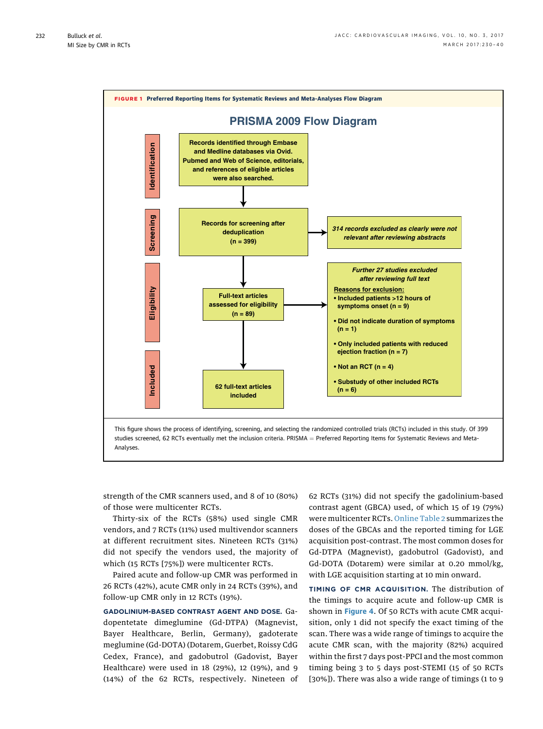<span id="page-2-0"></span>

strength of the CMR scanners used, and 8 of 10 (80%) of those were multicenter RCTs.

Thirty-six of the RCTs (58%) used single CMR vendors, and 7 RCTs (11%) used multivendor scanners at different recruitment sites. Nineteen RCTs (31%) did not specify the vendors used, the majority of which (15 RCTs [75%]) were multicenter RCTs.

Paired acute and follow-up CMR was performed in 26 RCTs (42%), acute CMR only in 24 RCTs (39%), and follow-up CMR only in 12 RCTs (19%).

GADOLINIUM-BASED CONTRAST AGENT AND DOSE. Gadopentetate dimeglumine (Gd-DTPA) (Magnevist, Bayer Healthcare, Berlin, Germany), gadoterate meglumine (Gd-DOTA) (Dotarem, Guerbet, Roissy CdG Cedex, France), and gadobutrol (Gadovist, Bayer Healthcare) were used in 18 (29%), 12 (19%), and 9 (14%) of the 62 RCTs, respectively. Nineteen of 62 RCTs (31%) did not specify the gadolinium-based contrast agent (GBCA) used, of which 15 of 19 (79%) were multicenter RCTs. [Online Table 2](http://dx.doi.org/10.1016/j.jcmg.2017.01.008) summarizes the doses of the GBCAs and the reported timing for LGE acquisition post-contrast. The most common doses for Gd-DTPA (Magnevist), gadobutrol (Gadovist), and Gd-DOTA (Dotarem) were similar at 0.20 mmol/kg, with LGE acquisition starting at 10 min onward.

TIMING OF CMR ACQUISITION. The distribution of the timings to acquire acute and follow-up CMR is shown in [Figure 4](#page-4-0). Of 50 RCTs with acute CMR acquisition, only 1 did not specify the exact timing of the scan. There was a wide range of timings to acquire the acute CMR scan, with the majority (82%) acquired within the first 7 days post-PPCI and the most common timing being 3 to 5 days post-STEMI (15 of 50 RCTs [30%]). There was also a wide range of timings (1 to 9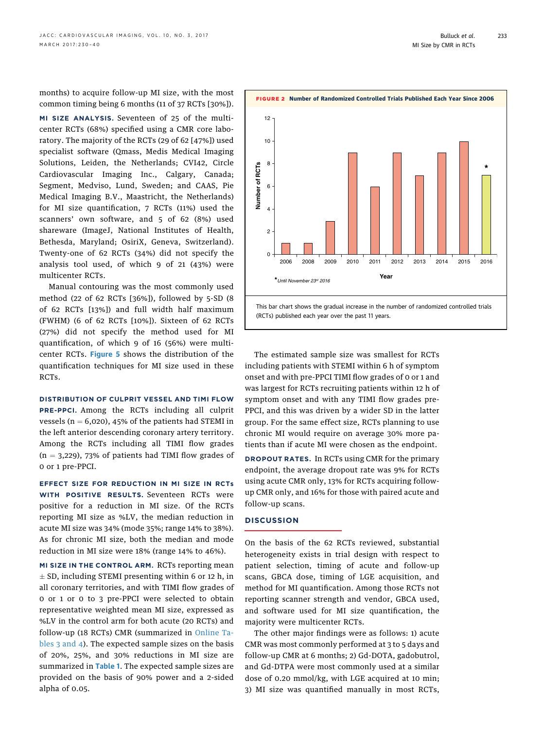<span id="page-3-0"></span>months) to acquire follow-up MI size, with the most common timing being 6 months (11 of 37 RCTs [30%]).

MI SIZE ANALYSIS. Seventeen of 25 of the multicenter RCTs (68%) specified using a CMR core laboratory. The majority of the RCTs (29 of 62 [47%]) used specialist software (Qmass, Medis Medical Imaging Solutions, Leiden, the Netherlands; CVI42, Circle Cardiovascular Imaging Inc., Calgary, Canada; Segment, Medviso, Lund, Sweden; and CAAS, Pie Medical Imaging B.V., Maastricht, the Netherlands) for MI size quantification, 7 RCTs (11%) used the scanners' own software, and 5 of 62 (8%) used shareware (ImageJ, National Institutes of Health, Bethesda, Maryland; OsiriX, Geneva, Switzerland). Twenty-one of 62 RCTs (34%) did not specify the analysis tool used, of which 9 of 21 (43%) were multicenter RCTs.

Manual contouring was the most commonly used method (22 of 62 RCTs [36%]), followed by 5-SD (8 of 62 RCTs [13%]) and full width half maximum (FWHM) (6 of 62 RCTs [10%]). Sixteen of 62 RCTs (27%) did not specify the method used for MI quantification, of which 9 of 16 (56%) were multi-center RCTs. [Figure 5](#page-5-0) shows the distribution of the quantification techniques for MI size used in these RCTs.

DISTRIBUTION OF CULPRIT VESSEL AND TIMI FLOW PRE-PPCI. Among the RCTs including all culprit vessels ( $n = 6,020$ ), 45% of the patients had STEMI in the left anterior descending coronary artery territory. Among the RCTs including all TIMI flow grades  $(n = 3,229)$ , 73% of patients had TIMI flow grades of 0 or 1 pre-PPCI.

EFFECT SIZE FOR REDUCTION IN MI SIZE IN RCTs WITH POSITIVE RESULTS. Seventeen RCTs were positive for a reduction in MI size. Of the RCTs reporting MI size as %LV, the median reduction in acute MI size was 34% (mode 35%; range 14% to 38%). As for chronic MI size, both the median and mode reduction in MI size were 18% (range 14% to 46%).

MI SIZE IN THE CONTROL ARM. RCTs reporting mean  $\pm$  SD, including STEMI presenting within 6 or 12 h, in all coronary territories, and with TIMI flow grades of 0 or 1 or 0 to 3 pre-PPCI were selected to obtain representative weighted mean MI size, expressed as %LV in the control arm for both acute (20 RCTs) and follow-up (18 RCTs) CMR (summarized in [Online Ta](http://dx.doi.org/10.1016/j.jcmg.2017.01.008)[bles 3 and 4](http://dx.doi.org/10.1016/j.jcmg.2017.01.008)). The expected sample sizes on the basis of 20%, 25%, and 30% reductions in MI size are summarized in [Table 1](#page-6-0). The expected sample sizes are provided on the basis of 90% power and a 2-sided alpha of 0.05.



FIGURE 2 Number of Randomized Controlled Trials Published Each Year Since 2006

This bar chart shows the gradual increase in the number of randomized controlled trials (RCTs) published each year over the past 11 years.

The estimated sample size was smallest for RCTs including patients with STEMI within 6 h of symptom onset and with pre-PPCI TIMI flow grades of 0 or 1 and was largest for RCTs recruiting patients within 12 h of symptom onset and with any TIMI flow grades pre-PPCI, and this was driven by a wider SD in the latter group. For the same effect size, RCTs planning to use chronic MI would require on average 30% more patients than if acute MI were chosen as the endpoint.

DROPOUT RATES. In RCTs using CMR for the primary endpoint, the average dropout rate was 9% for RCTs using acute CMR only, 13% for RCTs acquiring followup CMR only, and 16% for those with paired acute and follow-up scans.

# **DISCUSSION**

12

10

On the basis of the 62 RCTs reviewed, substantial heterogeneity exists in trial design with respect to patient selection, timing of acute and follow-up scans, GBCA dose, timing of LGE acquisition, and method for MI quantification. Among those RCTs not reporting scanner strength and vendor, GBCA used, and software used for MI size quantification, the majority were multicenter RCTs.

The other major findings were as follows: 1) acute CMR was most commonly performed at 3 to 5 days and follow-up CMR at 6 months; 2) Gd-DOTA, gadobutrol, and Gd-DTPA were most commonly used at a similar dose of 0.20 mmol/kg, with LGE acquired at 10 min; 3) MI size was quantified manually in most RCTs,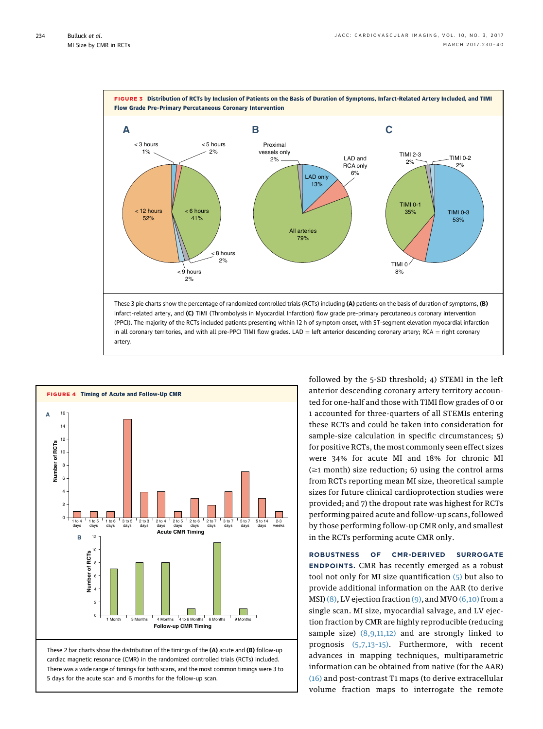<span id="page-4-0"></span>

infarct-related artery, and (C) TIMI (Thrombolysis in Myocardial Infarction) flow grade pre–primary percutaneous coronary intervention (PPCI). The majority of the RCTs included patients presenting within 12 h of symptom onset, with ST-segment elevation myocardial infarction in all coronary territories, and with all pre-PPCI TIMI flow grades. LAD = left anterior descending coronary artery; RCA = right coronary artery.



These 2 bar charts show the distribution of the timings of the (A) acute and (B) follow-up cardiac magnetic resonance (CMR) in the randomized controlled trials (RCTs) included. There was a wide range of timings for both scans, and the most common timings were 3 to 5 days for the acute scan and 6 months for the follow-up scan.

followed by the 5-SD threshold; 4) STEMI in the left anterior descending coronary artery territory accounted for one-half and those with TIMI flow grades of 0 or 1 accounted for three-quarters of all STEMIs entering these RCTs and could be taken into consideration for sample-size calculation in specific circumstances; 5) for positive RCTs, the most commonly seen effect sizes were 34% for acute MI and 18% for chronic MI  $(\geq 1$  month) size reduction; 6) using the control arms from RCTs reporting mean MI size, theoretical sample sizes for future clinical cardioprotection studies were provided; and 7) the dropout rate was highest for RCTs performing paired acute and follow-up scans, followed by those performing follow-up CMR only, and smallest in the RCTs performing acute CMR only.

ROBUSTNESS OF CMR-DERIVED SURROGATE ENDPOINTS. CMR has recently emerged as a robust tool not only for MI size quantification [\(5\)](#page-9-0) but also to provide additional information on the AAR (to derive MSI)  $(8)$ , LV ejection fraction  $(9)$ , and MVO  $(6,10)$  from a single scan. MI size, myocardial salvage, and LV ejection fraction by CMR are highly reproducible (reducing sample size) [\(8,9,11,12\)](#page-9-0) and are strongly linked to prognosis [\(5,7,13](#page-9-0)–15). Furthermore, with recent advances in mapping techniques, multiparametric information can be obtained from native (for the AAR) [\(16\)](#page-9-0) and post-contrast T1 maps (to derive extracellular volume fraction maps to interrogate the remote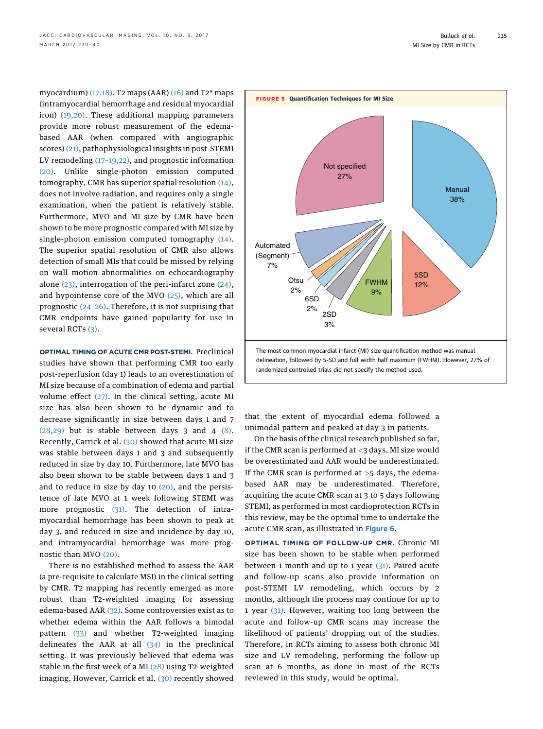<span id="page-5-0"></span>myocardium)  $(17,18)$ , T2 maps (AAR)  $(16)$  and T2<sup>\*</sup> maps (intramyocardial hemorrhage and residual myocardial iron) [\(19,20\)](#page-9-0). These additional mapping parameters provide more robust measurement of the edemabased AAR (when compared with angiographic scores) [\(21\),](#page-9-0) pathophysiological insights in post-STEMI LV remodeling (17–[19,22\),](#page-9-0) and prognostic information [\(20\).](#page-9-0) Unlike single-photon emission computed tomography, CMR has superior spatial resolution [\(14\),](#page-9-0) does not involve radiation, and requires only a single examination, when the patient is relatively stable. Furthermore, MVO and MI size by CMR have been shown to be more prognostic compared with MI size by single-photon emission computed tomography  $(14)$ . The superior spatial resolution of CMR also allows detection of small MIs that could be missed by relying on wall motion abnormalities on echocardiography alone  $(23)$ , interrogation of the peri-infarct zone  $(24)$ , and hypointense core of the MVO [\(25\)](#page-9-0), which are all prognostic (24–[26\).](#page-9-0) Therefore, it is not surprising that CMR endpoints have gained popularity for use in several RCTs [\(3\)](#page-8-0).

OPTIMAL TIMING OF ACUTE CMR POST-STEMI. Preclinical studies have shown that performing CMR too early post-reperfusion (day 1) leads to an overestimation of MI size because of a combination of edema and partial volume effect [\(27\).](#page-9-0) In the clinical setting, acute MI size has also been shown to be dynamic and to decrease significantly in size between days 1 and 7  $(28,29)$  but is stable between days 3 and 4  $(8)$ . Recently, Carrick et al. [\(30\)](#page-9-0) showed that acute MI size was stable between days 1 and 3 and subsequently reduced in size by day 10. Furthermore, late MVO has also been shown to be stable between days 1 and 3 and to reduce in size by day  $10$   $(20)$ , and the persistence of late MVO at 1 week following STEMI was more prognostic [\(31\)](#page-9-0). The detection of intramyocardial hemorrhage has been shown to peak at day 3, and reduced in size and incidence by day 10, and intramyocardial hemorrhage was more prognostic than MVO [\(20\).](#page-9-0)

There is no established method to assess the AAR (a pre-requisite to calculate MSI) in the clinical setting by CMR. T2 mapping has recently emerged as more robust than T2-weighted imaging for assessing edema-based AAR [\(32\)](#page-9-0). Some controversies exist as to whether edema within the AAR follows a bimodal pattern [\(33\)](#page-9-0) and whether T2-weighted imaging delineates the AAR at all  $(34)$  in the preclinical setting. It was previously believed that edema was stable in the first week of a MI [\(28\)](#page-9-0) using T2-weighted imaging. However, Carrick et al. [\(30\)](#page-9-0) recently showed

235



that the extent of myocardial edema followed a unimodal pattern and peaked at day 3 in patients.

On the basis of the clinical research published so far, if the CMR scan is performed at  $<$ 3 days, MI size would be overestimated and AAR would be underestimated. If the CMR scan is performed at  $>5$  days, the edemabased AAR may be underestimated. Therefore, acquiring the acute CMR scan at 3 to 5 days following STEMI, as performed in most cardioprotection RCTs in this review, may be the optimal time to undertake the acute CMR scan, as illustrated in [Figure 6](#page-7-0).

OPTIMAL TIMING OF FOLLOW-UP CMR. Chronic MI size has been shown to be stable when performed between 1 month and up to 1 year  $(31)$ . Paired acute and follow-up scans also provide information on post-STEMI LV remodeling, which occurs by 2 months, although the process may continue for up to 1 year [\(31\).](#page-9-0) However, waiting too long between the acute and follow-up CMR scans may increase the likelihood of patients' dropping out of the studies. Therefore, in RCTs aiming to assess both chronic MI size and LV remodeling, performing the follow-up scan at 6 months, as done in most of the RCTs reviewed in this study, would be optimal.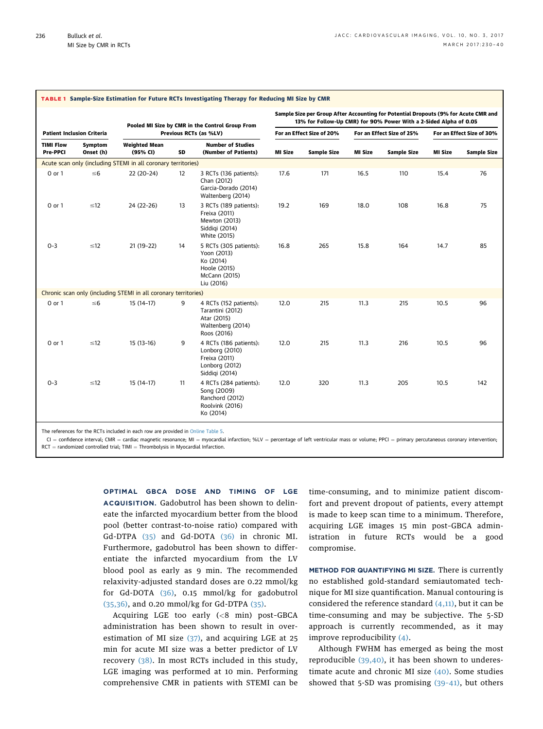<span id="page-6-0"></span>

|                                     |                      |                                                                           |    | Sample Size per Group After Accounting for Potential Dropouts (9% for Acute CMR and<br>13% for Follow-Up CMR) for 90% Power With a 2-Sided Alpha of 0.05 |                           |             |                           |             |                           |                    |
|-------------------------------------|----------------------|---------------------------------------------------------------------------|----|----------------------------------------------------------------------------------------------------------------------------------------------------------|---------------------------|-------------|---------------------------|-------------|---------------------------|--------------------|
| <b>Patient Inclusion Criteria</b>   |                      | Pooled MI Size by CMR in the Control Group From<br>Previous RCTs (as %LV) |    |                                                                                                                                                          | For an Effect Size of 20% |             | For an Effect Size of 25% |             | For an Effect Size of 30% |                    |
| <b>TIMI Flow</b><br><b>Pre-PPCI</b> | Symptom<br>Onset (h) | <b>Weighted Mean</b><br>(95% CI)                                          | SD | <b>Number of Studies</b><br>(Number of Patients)                                                                                                         | MI Size                   | Sample Size | <b>MI Size</b>            | Sample Size | <b>MI Size</b>            | <b>Sample Size</b> |
|                                     |                      | Acute scan only (including STEMI in all coronary territories)             |    |                                                                                                                                                          |                           |             |                           |             |                           |                    |
| 0 or 1                              | $\leq 6$             | $22(20-24)$                                                               | 12 | 3 RCTs (136 patients):<br>Chan (2012)<br>Garcia-Dorado (2014)<br>Waltenberg (2014)                                                                       | 17.6                      | 171         | 16.5                      | 110         | 15.4                      | 76                 |
| 0 or 1                              | $\leq 12$            | 24 (22-26)                                                                | 13 | 3 RCTs (189 patients):<br>Freixa (2011)<br>Mewton (2013)<br>Siddigi (2014)<br>White (2015)                                                               | 19.2                      | 169         | 18.0                      | 108         | 16.8                      | 75                 |
| $O - 3$                             | $\leq 12$            | 21 (19-22)                                                                | 14 | 5 RCTs (305 patients):<br>Yoon (2013)<br>Ko (2014)<br>Hoole (2015)<br>McCann (2015)<br>Liu (2016)                                                        | 16.8                      | 265         | 15.8                      | 164         | 14.7                      | 85                 |
|                                     |                      | Chronic scan only (including STEMI in all coronary territories)           |    |                                                                                                                                                          |                           |             |                           |             |                           |                    |
| $0$ or $1$                          | $\leq 6$             | $15(14-17)$                                                               | 9  | 4 RCTs (152 patients):<br>Tarantini (2012)<br>Atar (2015)<br>Waltenberg (2014)<br>Roos (2016)                                                            | 12.0                      | 215         | 11.3                      | 215         | 10.5                      | 96                 |
| 0 or 1                              | $\leq 12$            | $15(13-16)$                                                               | 9  | 4 RCTs (186 patients):<br>Lonborg (2010)<br>Freixa (2011)<br>Lonborg (2012)<br>Siddigi (2014)                                                            | 12.0                      | 215         | 11.3                      | 216         | 10.5                      | 96                 |
| $0 - 3$                             | $\leq 12$            | $15(14-17)$                                                               | 11 | 4 RCTs (284 patients):<br>Song (2009)<br>Ranchord (2012)<br>Roolvink (2016)<br>Ko (2014)                                                                 | 12.0                      | 320         | 11.3                      | 205         | 10.5                      | 142                |

The references for the RCTs included in each row are provided in Online Table 5.

 $CI =$  confidence interval; CMR = cardiac magnetic resonance; MI = myocardial infarction; %LV = percentage of left ventricular mass or volume; PPCI = primary percutaneous coronary intervention;  $RCT =$  randomized controlled trial; TIMI = Thrombolysis in Myocardial Infarction.

> OPTIMAL GBCA DOSE AND TIMING OF LGE ACQUISITION. Gadobutrol has been shown to delineate the infarcted myocardium better from the blood pool (better contrast-to-noise ratio) compared with Gd-DTPA [\(35\)](#page-9-0) and Gd-DOTA [\(36\)](#page-9-0) in chronic MI. Furthermore, gadobutrol has been shown to differentiate the infarcted myocardium from the LV blood pool as early as 9 min. The recommended relaxivity-adjusted standard doses are 0.22 mmol/kg for Gd-DOTA [\(36\),](#page-9-0) 0.15 mmol/kg for gadobutrol [\(35,36\),](#page-9-0) and 0.20 mmol/kg for Gd-DTPA [\(35\)](#page-9-0).

> Acquiring LGE too early  $( $8$  min) post-GBCA$ administration has been shown to result in overestimation of MI size [\(37\),](#page-9-0) and acquiring LGE at 25 min for acute MI size was a better predictor of LV recovery [\(38\).](#page-9-0) In most RCTs included in this study, LGE imaging was performed at 10 min. Performing comprehensive CMR in patients with STEMI can be

time-consuming, and to minimize patient discomfort and prevent dropout of patients, every attempt is made to keep scan time to a minimum. Therefore, acquiring LGE images 15 min post–GBCA administration in future RCTs would be a good compromise.

METHOD FOR QUANTIFYING MI SIZE. There is currently no established gold-standard semiautomated technique for MI size quantification. Manual contouring is considered the reference standard  $(4,11)$ , but it can be time-consuming and may be subjective. The 5-SD approach is currently recommended, as it may improve reproducibility [\(4\).](#page-8-0)

Although FWHM has emerged as being the most reproducible [\(39,40\),](#page-9-0) it has been shown to underestimate acute and chronic MI size [\(40\).](#page-9-0) Some studies showed that 5-SD was promising [\(39](#page-9-0)–41), but others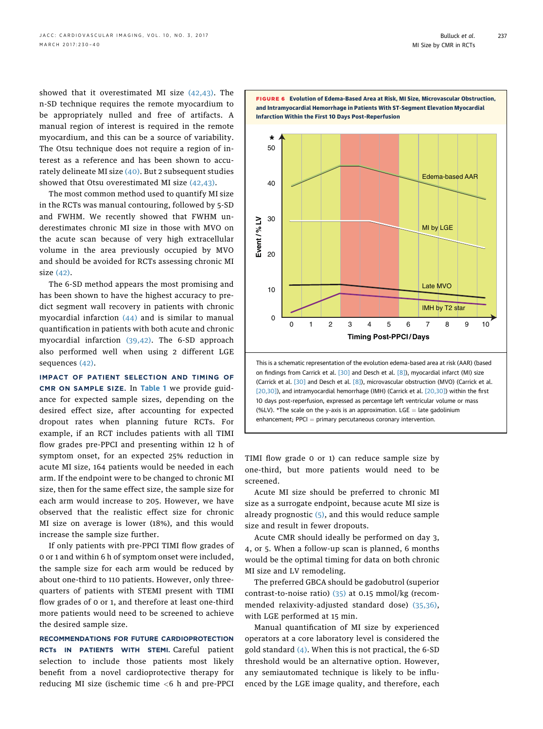<span id="page-7-0"></span>showed that it overestimated MI size [\(42,43\).](#page-9-0) The n-SD technique requires the remote myocardium to be appropriately nulled and free of artifacts. A manual region of interest is required in the remote myocardium, and this can be a source of variability. The Otsu technique does not require a region of interest as a reference and has been shown to accurately delineate MI size  $(40)$ . But 2 subsequent studies showed that Otsu overestimated MI size [\(42,43\)](#page-9-0).

The most common method used to quantify MI size in the RCTs was manual contouring, followed by 5-SD and FWHM. We recently showed that FWHM underestimates chronic MI size in those with MVO on the acute scan because of very high extracellular volume in the area previously occupied by MVO and should be avoided for RCTs assessing chronic MI size [\(42\)](#page-9-0).

The 6-SD method appears the most promising and has been shown to have the highest accuracy to predict segment wall recovery in patients with chronic myocardial infarction [\(44\)](#page-10-0) and is similar to manual quantification in patients with both acute and chronic myocardial infarction [\(39,42\)](#page-9-0). The 6-SD approach also performed well when using 2 different LGE sequences [\(42\)](#page-9-0).

IMPACT OF PATIENT SELECTION AND TIMING OF CMR ON SAMPLE SIZE. In [Table 1](#page-6-0) we provide guidance for expected sample sizes, depending on the desired effect size, after accounting for expected dropout rates when planning future RCTs. For example, if an RCT includes patients with all TIMI flow grades pre-PPCI and presenting within 12 h of symptom onset, for an expected 25% reduction in acute MI size, 164 patients would be needed in each arm. If the endpoint were to be changed to chronic MI size, then for the same effect size, the sample size for each arm would increase to 205. However, we have observed that the realistic effect size for chronic MI size on average is lower (18%), and this would increase the sample size further.

If only patients with pre-PPCI TIMI flow grades of 0 or 1 and within 6 h of symptom onset were included, the sample size for each arm would be reduced by about one-third to 110 patients. However, only threequarters of patients with STEMI present with TIMI flow grades of 0 or 1, and therefore at least one-third more patients would need to be screened to achieve the desired sample size.

RECOMMENDATIONS FOR FUTURE CARDIOPROTECTION RCTs IN PATIENTS WITH STEMI. Careful patient selection to include those patients most likely benefit from a novel cardioprotective therapy for reducing MI size (ischemic time <6 h and pre-PPCI



FIGURE 6 Evolution of Edema-Based Area at Risk, MI Size, Microvascular Obstruction,

on findings from Carrick et al. [\[30\]](#page-9-0) and Desch et al. [\[8\]](#page-9-0)), myocardial infarct (MI) size (Carrick et al. [\[30\]](#page-9-0) and Desch et al. [\[8\]](#page-9-0)), microvascular obstruction (MVO) (Carrick et al. [\[20,30\]\)](#page-9-0), and intramyocardial hemorrhage (IMH) (Carrick et al. [\[20,30\]\)](#page-9-0) within the first 10 days post-reperfusion, expressed as percentage left ventricular volume or mass (%LV). \*The scale on the y-axis is an approximation. LGE  $=$  late gadolinium  $enhancement; PPCl = primary percutaneous coronary intervention.$ 

TIMI flow grade 0 or 1) can reduce sample size by one-third, but more patients would need to be screened.

Acute MI size should be preferred to chronic MI size as a surrogate endpoint, because acute MI size is already prognostic  $(5)$ , and this would reduce sample size and result in fewer dropouts.

Acute CMR should ideally be performed on day 3, 4, or 5. When a follow-up scan is planned, 6 months would be the optimal timing for data on both chronic MI size and LV remodeling.

The preferred GBCA should be gadobutrol (superior contrast-to-noise ratio) [\(35\)](#page-9-0) at 0.15 mmol/kg (recommended relaxivity-adjusted standard dose) [\(35,36\),](#page-9-0) with LGE performed at 15 min.

Manual quantification of MI size by experienced operators at a core laboratory level is considered the gold standard [\(4\)](#page-8-0). When this is not practical, the 6-SD threshold would be an alternative option. However, any semiautomated technique is likely to be influenced by the LGE image quality, and therefore, each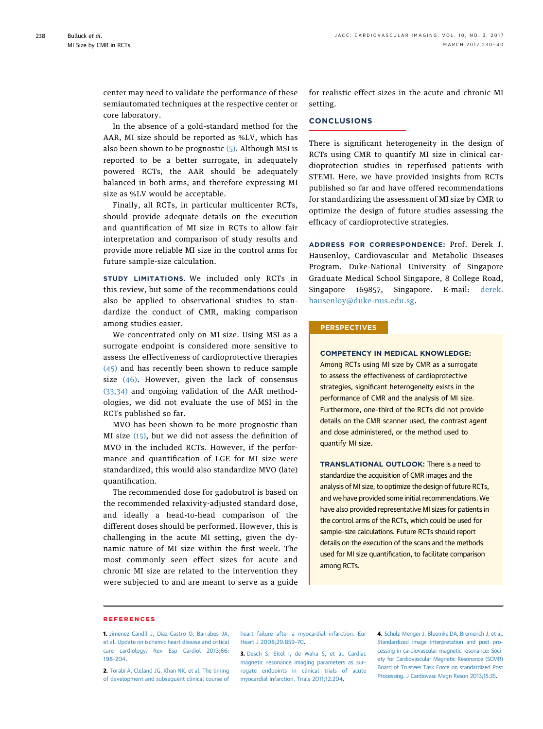<span id="page-8-0"></span>center may need to validate the performance of these semiautomated techniques at the respective center or core laboratory.

In the absence of a gold-standard method for the AAR, MI size should be reported as %LV, which has also been shown to be prognostic  $(5)$ . Although MSI is reported to be a better surrogate, in adequately powered RCTs, the AAR should be adequately balanced in both arms, and therefore expressing MI size as %LV would be acceptable.

Finally, all RCTs, in particular multicenter RCTs, should provide adequate details on the execution and quantification of MI size in RCTs to allow fair interpretation and comparison of study results and provide more reliable MI size in the control arms for future sample-size calculation.

STUDY LIMITATIONS. We included only RCTs in this review, but some of the recommendations could also be applied to observational studies to standardize the conduct of CMR, making comparison among studies easier.

We concentrated only on MI size. Using MSI as a surrogate endpoint is considered more sensitive to assess the effectiveness of cardioprotective therapies [\(45\)](#page-10-0) and has recently been shown to reduce sample size  $(46)$ . However, given the lack of consensus [\(33,34\)](#page-9-0) and ongoing validation of the AAR methodologies, we did not evaluate the use of MSI in the RCTs published so far.

MVO has been shown to be more prognostic than MI size [\(15\)](#page-9-0), but we did not assess the definition of MVO in the included RCTs. However, if the performance and quantification of LGE for MI size were standardized, this would also standardize MVO (late) quantification.

The recommended dose for gadobutrol is based on the recommended relaxivity-adjusted standard dose, and ideally a head-to-head comparison of the different doses should be performed. However, this is challenging in the acute MI setting, given the dynamic nature of MI size within the first week. The most commonly seen effect sizes for acute and chronic MI size are related to the intervention they were subjected to and are meant to serve as a guide for realistic effect sizes in the acute and chronic MI setting.

# **CONCLUSIONS**

There is significant heterogeneity in the design of RCTs using CMR to quantify MI size in clinical cardioprotection studies in reperfused patients with STEMI. Here, we have provided insights from RCTs published so far and have offered recommendations for standardizing the assessment of MI size by CMR to optimize the design of future studies assessing the efficacy of cardioprotective strategies.

ADDRESS FOR CORRESPONDENCE: Prof. Derek J. Hausenloy, Cardiovascular and Metabolic Diseases Program, Duke-National University of Singapore Graduate Medical School Singapore, 8 College Road, Singapore 169857, Singapore. E-mail: [derek.](mailto:derek.hausenloy@duke-nus.edu.sg) [hausenloy@duke-nus.edu.sg.](mailto:derek.hausenloy@duke-nus.edu.sg)

## **PERSPECTIVES**

# COMPETENCY IN MEDICAL KNOWLEDGE:

Among RCTs using MI size by CMR as a surrogate to assess the effectiveness of cardioprotective strategies, significant heterogeneity exists in the performance of CMR and the analysis of MI size. Furthermore, one-third of the RCTs did not provide details on the CMR scanner used, the contrast agent and dose administered, or the method used to quantify MI size.

TRANSLATIONAL OUTLOOK: There is a need to standardize the acquisition of CMR images and the analysis of MI size, to optimize the design of future RCTs, and we have provided some initial recommendations. We have also provided representative MI sizes for patients in the control arms of the RCTs, which could be used for sample-size calculations. Future RCTs should report details on the execution of the scans and the methods used for MI size quantification, to facilitate comparison among RCTs.

### REFERENCES

1. [Jimenez-Candil J, Diaz-Castro O, Barrabes JA,](http://refhub.elsevier.com/S1936-878X(17)30065-7/sref1) [et al. Update on ischemic heart disease and critical](http://refhub.elsevier.com/S1936-878X(17)30065-7/sref1) [care cardiology. Rev Esp Cardiol 2013;66:](http://refhub.elsevier.com/S1936-878X(17)30065-7/sref1) 198–[204](http://refhub.elsevier.com/S1936-878X(17)30065-7/sref1).

2. [Torabi A, Cleland JG, Khan NK, et al. The timing](http://refhub.elsevier.com/S1936-878X(17)30065-7/sref2) [of development and subsequent clinical course of](http://refhub.elsevier.com/S1936-878X(17)30065-7/sref2)

[heart failure after a myocardial infarction. Eur](http://refhub.elsevier.com/S1936-878X(17)30065-7/sref2) [Heart J 2008;29:859](http://refhub.elsevier.com/S1936-878X(17)30065-7/sref2)–70.

3. [Desch S, Eitel I, de Waha S, et al. Cardiac](http://refhub.elsevier.com/S1936-878X(17)30065-7/sref3) [magnetic resonance imaging parameters as sur](http://refhub.elsevier.com/S1936-878X(17)30065-7/sref3)[rogate endpoints in clinical trials of acute](http://refhub.elsevier.com/S1936-878X(17)30065-7/sref3) [myocardial infarction. Trials 2011;12:204.](http://refhub.elsevier.com/S1936-878X(17)30065-7/sref3)

4. [Schulz-Menger J, Bluemke DA, Bremerich J, et al.](http://refhub.elsevier.com/S1936-878X(17)30065-7/sref4) [Standardized image interpretation and post pro](http://refhub.elsevier.com/S1936-878X(17)30065-7/sref4)[cessing in cardiovascular magnetic resonance: Soci](http://refhub.elsevier.com/S1936-878X(17)30065-7/sref4)[ety for Cardiovascular Magnetic Resonance \(SCMR\)](http://refhub.elsevier.com/S1936-878X(17)30065-7/sref4) [Board of Trustees Task Force on standardized Post](http://refhub.elsevier.com/S1936-878X(17)30065-7/sref4) [Processing. J Cardiovasc Magn Reson 2013;15:35](http://refhub.elsevier.com/S1936-878X(17)30065-7/sref4).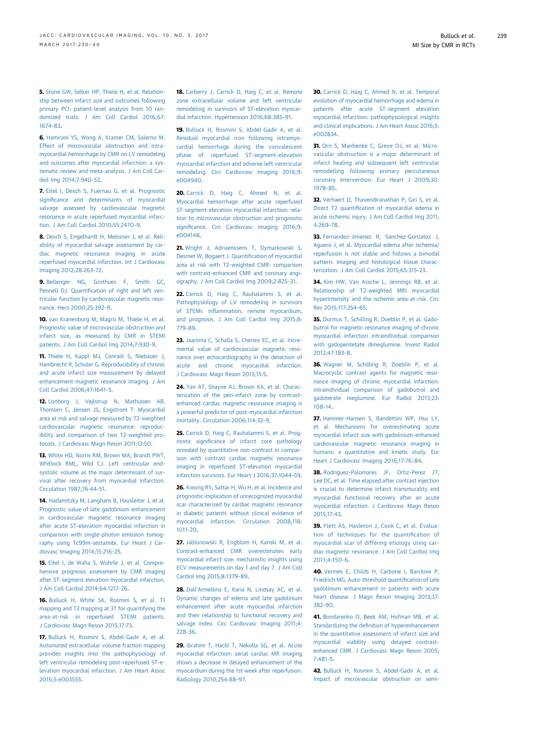<span id="page-9-0"></span>5. [Stone GW, Selker HP, Thiele H, et al. Relation](http://refhub.elsevier.com/S1936-878X(17)30065-7/sref5)[ship between infarct size and outcomes following](http://refhub.elsevier.com/S1936-878X(17)30065-7/sref5) [primary PCI: patient-level analysis from 10 ran](http://refhub.elsevier.com/S1936-878X(17)30065-7/sref5)[domized trials. J Am Coll Cardiol 2016;67:](http://refhub.elsevier.com/S1936-878X(17)30065-7/sref5) [1674](http://refhub.elsevier.com/S1936-878X(17)30065-7/sref5)–83.

6. [Hamirani YS, Wong A, Kramer CM, Salerno M.](http://refhub.elsevier.com/S1936-878X(17)30065-7/sref6) [Effect of microvascular obstruction and intra](http://refhub.elsevier.com/S1936-878X(17)30065-7/sref6)[myocardial hemorrhage by CMR on LV remodeling](http://refhub.elsevier.com/S1936-878X(17)30065-7/sref6) [and outcomes after myocardial infarction: a sys](http://refhub.elsevier.com/S1936-878X(17)30065-7/sref6)[tematic review and meta-analysis. J Am Coll Car](http://refhub.elsevier.com/S1936-878X(17)30065-7/sref6)[diol Img 2014;7:940](http://refhub.elsevier.com/S1936-878X(17)30065-7/sref6)–52.

7. [Eitel I, Desch S, Fuernau G, et al. Prognostic](http://refhub.elsevier.com/S1936-878X(17)30065-7/sref7) signifi[cance and determinants of myocardial](http://refhub.elsevier.com/S1936-878X(17)30065-7/sref7) [salvage assessed by cardiovascular magnetic](http://refhub.elsevier.com/S1936-878X(17)30065-7/sref7) [resonance in acute reperfused myocardial infarc](http://refhub.elsevier.com/S1936-878X(17)30065-7/sref7)[tion. J Am Coll Cardiol 2010;55:2470](http://refhub.elsevier.com/S1936-878X(17)30065-7/sref7)–9.

8. [Desch S, Engelhardt H, Meissner J, et al. Reli](http://refhub.elsevier.com/S1936-878X(17)30065-7/sref8)[ability of myocardial salvage assessment by car](http://refhub.elsevier.com/S1936-878X(17)30065-7/sref8)[diac magnetic resonance imaging in acute](http://refhub.elsevier.com/S1936-878X(17)30065-7/sref8) [reperfused myocardial infarction. Int J Cardiovasc](http://refhub.elsevier.com/S1936-878X(17)30065-7/sref8) [Imaging 2012;28:263](http://refhub.elsevier.com/S1936-878X(17)30065-7/sref8)–72.

9. [Bellenger NG, Grothues F, Smith GC,](http://refhub.elsevier.com/S1936-878X(17)30065-7/sref9) Pennell DJ. Quantifi[cation of right and left ven](http://refhub.elsevier.com/S1936-878X(17)30065-7/sref9)[tricular function by cardiovascular magnetic reso](http://refhub.elsevier.com/S1936-878X(17)30065-7/sref9)[nance. Herz 2000;25:392](http://refhub.elsevier.com/S1936-878X(17)30065-7/sref9)–9.

10. [van Kranenburg M, Magro M, Thiele H, et al.](http://refhub.elsevier.com/S1936-878X(17)30065-7/sref10) [Prognostic value of microvascular obstruction and](http://refhub.elsevier.com/S1936-878X(17)30065-7/sref10) [infarct size, as measured by CMR in STEMI](http://refhub.elsevier.com/S1936-878X(17)30065-7/sref10) [patients. J Am Coll Cardiol Img 2014;7:930](http://refhub.elsevier.com/S1936-878X(17)30065-7/sref10)–9.

11. [Thiele H, Kappl MJ, Conradi S, Niebauer J,](http://refhub.elsevier.com/S1936-878X(17)30065-7/sref11) [Hambrecht R, Schuler G. Reproducibility of chronic](http://refhub.elsevier.com/S1936-878X(17)30065-7/sref11) [and acute infarct size measurement by delayed](http://refhub.elsevier.com/S1936-878X(17)30065-7/sref11) [enhancement-magnetic resonance imaging. J Am](http://refhub.elsevier.com/S1936-878X(17)30065-7/sref11) [Coll Cardiol 2006;47:1641](http://refhub.elsevier.com/S1936-878X(17)30065-7/sref11)–5.

12. [Lonborg J, Vejlstrup N, Mathiasen AB,](http://refhub.elsevier.com/S1936-878X(17)30065-7/sref12) [Thomsen C, Jensen JS, Engstrom T. Myocardial](http://refhub.elsevier.com/S1936-878X(17)30065-7/sref12) [area at risk and salvage measured by T2-weighted](http://refhub.elsevier.com/S1936-878X(17)30065-7/sref12) [cardiovascular magnetic resonance: reproduc](http://refhub.elsevier.com/S1936-878X(17)30065-7/sref12)[ibility and comparison of two T2-weighted pro](http://refhub.elsevier.com/S1936-878X(17)30065-7/sref12)[tocols. J Cardiovasc Magn Reson 2011;13:50](http://refhub.elsevier.com/S1936-878X(17)30065-7/sref12).

13. [White HD, Norris RM, Brown MA, Brandt PWT,](http://refhub.elsevier.com/S1936-878X(17)30065-7/sref13) [Whitlock RML, Wild CJ. Left ventricular end](http://refhub.elsevier.com/S1936-878X(17)30065-7/sref13)[systolic volume as the major determinant of sur](http://refhub.elsevier.com/S1936-878X(17)30065-7/sref13)[vival after recovery from myocardial infarction.](http://refhub.elsevier.com/S1936-878X(17)30065-7/sref13) [Circulation 1987;76:44](http://refhub.elsevier.com/S1936-878X(17)30065-7/sref13)–51.

14. [Hadamitzky M, Langhans B, Hausleiter J, et al.](http://refhub.elsevier.com/S1936-878X(17)30065-7/sref14) [Prognostic value of late gadolinium enhancement](http://refhub.elsevier.com/S1936-878X(17)30065-7/sref14) [in cardiovascular magnetic resonance imaging](http://refhub.elsevier.com/S1936-878X(17)30065-7/sref14) [after acute ST-elevation myocardial infarction in](http://refhub.elsevier.com/S1936-878X(17)30065-7/sref14) [comparison with single-photon emission tomog](http://refhub.elsevier.com/S1936-878X(17)30065-7/sref14)[raphy using Tc99m-sestamibi. Eur Heart J Car](http://refhub.elsevier.com/S1936-878X(17)30065-7/sref14)[diovasc Imaging 2014;15:216](http://refhub.elsevier.com/S1936-878X(17)30065-7/sref14)–25.

15. [Eitel I, de Waha S, Wohrle J, et al. Compre](http://refhub.elsevier.com/S1936-878X(17)30065-7/sref15)[hensive prognosis assessment by CMR imaging](http://refhub.elsevier.com/S1936-878X(17)30065-7/sref15) [after ST-segment elevation myocardial infarction.](http://refhub.elsevier.com/S1936-878X(17)30065-7/sref15) [J Am Coll Cardiol 2014;64:1217](http://refhub.elsevier.com/S1936-878X(17)30065-7/sref15)–26.

16. [Bulluck H, White SK, Rosmini S, et al. T1](http://refhub.elsevier.com/S1936-878X(17)30065-7/sref16) [mapping and T2 mapping at 3T for quantifying the](http://refhub.elsevier.com/S1936-878X(17)30065-7/sref16) [area-at-risk in reperfused STEMI patients.](http://refhub.elsevier.com/S1936-878X(17)30065-7/sref16) [J Cardiovasc Magn Reson 2015;17:73.](http://refhub.elsevier.com/S1936-878X(17)30065-7/sref16)

17. [Bulluck H, Rosmini S, Abdel-Gadir A, et al.](http://refhub.elsevier.com/S1936-878X(17)30065-7/sref17) [Automated extracellular volume fraction mapping](http://refhub.elsevier.com/S1936-878X(17)30065-7/sref17) [provides insights into the pathophysiology of](http://refhub.elsevier.com/S1936-878X(17)30065-7/sref17) [left ventricular remodeling post-reperfused ST-e](http://refhub.elsevier.com/S1936-878X(17)30065-7/sref17)[levation myocardial infarction. J Am Heart Assoc](http://refhub.elsevier.com/S1936-878X(17)30065-7/sref17) [2016;5:e003555](http://refhub.elsevier.com/S1936-878X(17)30065-7/sref17).

18. [Carberry J, Carrick D, Haig C, et al. Remote](http://refhub.elsevier.com/S1936-878X(17)30065-7/sref18) [zone extracellular volume and left ventricular](http://refhub.elsevier.com/S1936-878X(17)30065-7/sref18) [remodeling in survivors of ST-elevation myocar](http://refhub.elsevier.com/S1936-878X(17)30065-7/sref18)[dial infarction. Hypertension 2016;68:385](http://refhub.elsevier.com/S1936-878X(17)30065-7/sref18)–91.

19. [Bulluck H, Rosmini S, Abdel-Gadir A, et al.](http://refhub.elsevier.com/S1936-878X(17)30065-7/sref19) [Residual myocardial iron following intramyo](http://refhub.elsevier.com/S1936-878X(17)30065-7/sref19)[cardial hemorrhage during the convalescent](http://refhub.elsevier.com/S1936-878X(17)30065-7/sref19) [phase of reperfused ST-segment](http://refhub.elsevier.com/S1936-878X(17)30065-7/sref19)–elevation [myocardial infarction and adverse left ventricular](http://refhub.elsevier.com/S1936-878X(17)30065-7/sref19) [remodeling. Circ Cardiovasc Imaging 2016;9:](http://refhub.elsevier.com/S1936-878X(17)30065-7/sref19) [e004940.](http://refhub.elsevier.com/S1936-878X(17)30065-7/sref19)

20. [Carrick D, Haig C, Ahmed N, et al.](http://refhub.elsevier.com/S1936-878X(17)30065-7/sref20) [Myocardial hemorrhage after acute reperfused](http://refhub.elsevier.com/S1936-878X(17)30065-7/sref20) [ST-segment-elevation myocardial infarction: rela](http://refhub.elsevier.com/S1936-878X(17)30065-7/sref20)[tion to microvascular obstruction and prognostic](http://refhub.elsevier.com/S1936-878X(17)30065-7/sref20) signifi[cance. Circ Cardiovasc Imaging 2016;9:](http://refhub.elsevier.com/S1936-878X(17)30065-7/sref20) [e004148.](http://refhub.elsevier.com/S1936-878X(17)30065-7/sref20)

21. [Wright J, Adriaenssens T, Dymarkowski S,](http://refhub.elsevier.com/S1936-878X(17)30065-7/sref21) [Desmet W, Bogaert J. Quanti](http://refhub.elsevier.com/S1936-878X(17)30065-7/sref21)fication of myocardial [area at risk with T2-weighted CMR: comparison](http://refhub.elsevier.com/S1936-878X(17)30065-7/sref21) [with contrast-enhanced CMR and coronary angi](http://refhub.elsevier.com/S1936-878X(17)30065-7/sref21)[ography. J Am Coll Cardiol Img 2009;2:825](http://refhub.elsevier.com/S1936-878X(17)30065-7/sref21)–31.

22. [Carrick D, Haig C, Rauhalammi S, et al.](http://refhub.elsevier.com/S1936-878X(17)30065-7/sref22) [Pathophysiology of LV remodeling in survivors](http://refhub.elsevier.com/S1936-878X(17)30065-7/sref22) of STEMI: infl[ammation, remote myocardium,](http://refhub.elsevier.com/S1936-878X(17)30065-7/sref22) [and prognosis. J Am Coll Cardiol Img 2015;8:](http://refhub.elsevier.com/S1936-878X(17)30065-7/sref22) [779](http://refhub.elsevier.com/S1936-878X(17)30065-7/sref22)–89.

23. [Jaarsma C, Schalla S, Cheriex EC, et al. Incre](http://refhub.elsevier.com/S1936-878X(17)30065-7/sref23)[mental value of cardiovascular magnetic reso](http://refhub.elsevier.com/S1936-878X(17)30065-7/sref23)[nance over echocardiography in the detection of](http://refhub.elsevier.com/S1936-878X(17)30065-7/sref23) [acute and chronic myocardial infarction.](http://refhub.elsevier.com/S1936-878X(17)30065-7/sref23) [J Cardiovasc Magn Reson 2013;15:5.](http://refhub.elsevier.com/S1936-878X(17)30065-7/sref23)

24. [Yan AT, Shayne AJ, Brown KA, et al. Charac](http://refhub.elsevier.com/S1936-878X(17)30065-7/sref24)[terization of the peri-infarct zone by contrast](http://refhub.elsevier.com/S1936-878X(17)30065-7/sref24)[enhanced cardiac magnetic resonance imaging is](http://refhub.elsevier.com/S1936-878X(17)30065-7/sref24) [a powerful predictor of post-myocardial infarction](http://refhub.elsevier.com/S1936-878X(17)30065-7/sref24) [mortality. Circulation 2006;114:32](http://refhub.elsevier.com/S1936-878X(17)30065-7/sref24)–9.

25. [Carrick D, Haig C, Rauhalammi S, et al. Prog](http://refhub.elsevier.com/S1936-878X(17)30065-7/sref25)nostic signifi[cance of infarct core pathology](http://refhub.elsevier.com/S1936-878X(17)30065-7/sref25) [revealed by quantitative non-contrast in compar](http://refhub.elsevier.com/S1936-878X(17)30065-7/sref25)[ison with contrast cardiac magnetic resonance](http://refhub.elsevier.com/S1936-878X(17)30065-7/sref25) [imaging in reperfused ST-elevation myocardial](http://refhub.elsevier.com/S1936-878X(17)30065-7/sref25) [infarction survivors. Eur Heart J 2016;37:1044](http://refhub.elsevier.com/S1936-878X(17)30065-7/sref25)–59.

26. [Kwong RY, Sattar H, Wu H, et al. Incidence and](http://refhub.elsevier.com/S1936-878X(17)30065-7/sref26) [prognostic implication of unrecognized myocardial](http://refhub.elsevier.com/S1936-878X(17)30065-7/sref26) [scar characterized by cardiac magnetic resonance](http://refhub.elsevier.com/S1936-878X(17)30065-7/sref26) [in diabetic patients without clinical evidence of](http://refhub.elsevier.com/S1936-878X(17)30065-7/sref26) [myocardial infarction. Circulation 2008;118:](http://refhub.elsevier.com/S1936-878X(17)30065-7/sref26) [1011](http://refhub.elsevier.com/S1936-878X(17)30065-7/sref26)–20.

27. [Jablonowski R, Engblom H, Kanski M, et al.](http://refhub.elsevier.com/S1936-878X(17)30065-7/sref27) [Contrast-enhanced CMR overestimates early](http://refhub.elsevier.com/S1936-878X(17)30065-7/sref27) [myocardial infarct size: mechanistic insights using](http://refhub.elsevier.com/S1936-878X(17)30065-7/sref27) [ECV measurements on day 1 and day 7. J Am Coll](http://refhub.elsevier.com/S1936-878X(17)30065-7/sref27) [Cardiol Img 2015;8:1379](http://refhub.elsevier.com/S1936-878X(17)30065-7/sref27)–89.

28. Dall'[Armellina E, Karia N, Lindsay AC, et al.](http://refhub.elsevier.com/S1936-878X(17)30065-7/sref28) [Dynamic changes of edema and late gadolinium](http://refhub.elsevier.com/S1936-878X(17)30065-7/sref28) [enhancement after acute myocardial infarction](http://refhub.elsevier.com/S1936-878X(17)30065-7/sref28) [and their relationship to functional recovery and](http://refhub.elsevier.com/S1936-878X(17)30065-7/sref28) [salvage index. Circ Cardiovasc Imaging 2011;4:](http://refhub.elsevier.com/S1936-878X(17)30065-7/sref28) [228](http://refhub.elsevier.com/S1936-878X(17)30065-7/sref28)–36.

29. [Ibrahim T, Hackl T, Nekolla SG, et al. Acute](http://refhub.elsevier.com/S1936-878X(17)30065-7/sref29) [myocardial infarction: serial cardiac MR imaging](http://refhub.elsevier.com/S1936-878X(17)30065-7/sref29) [shows a decrease in delayed enhancement of the](http://refhub.elsevier.com/S1936-878X(17)30065-7/sref29) [myocardium during the 1st week after reperfusion.](http://refhub.elsevier.com/S1936-878X(17)30065-7/sref29) [Radiology 2010;254:88](http://refhub.elsevier.com/S1936-878X(17)30065-7/sref29)–97.

30. [Carrick D, Haig C, Ahmed N, et al. Temporal](http://refhub.elsevier.com/S1936-878X(17)30065-7/sref30) [evolution of myocardial hemorrhage and edema in](http://refhub.elsevier.com/S1936-878X(17)30065-7/sref30) [patients after acute ST-segment elevation](http://refhub.elsevier.com/S1936-878X(17)30065-7/sref30) [myocardial infarction: pathophysiological insights](http://refhub.elsevier.com/S1936-878X(17)30065-7/sref30) [and clinical implications. J Am Heart Assoc 2016;5:](http://refhub.elsevier.com/S1936-878X(17)30065-7/sref30) [e002834.](http://refhub.elsevier.com/S1936-878X(17)30065-7/sref30)

31. [Orn S, Manhenke C, Greve OJ, et al. Micro](http://refhub.elsevier.com/S1936-878X(17)30065-7/sref31)[vascular obstruction is a major determinant of](http://refhub.elsevier.com/S1936-878X(17)30065-7/sref31) [infarct healing and subsequent left ventricular](http://refhub.elsevier.com/S1936-878X(17)30065-7/sref31) [remodelling following primary percutaneous](http://refhub.elsevier.com/S1936-878X(17)30065-7/sref31) [coronary intervention. Eur Heart J 2009;30:](http://refhub.elsevier.com/S1936-878X(17)30065-7/sref31) [1978](http://refhub.elsevier.com/S1936-878X(17)30065-7/sref31)–85.

32. [Verhaert D, Thavendiranathan P, Giri S, et al.](http://refhub.elsevier.com/S1936-878X(17)30065-7/sref32) Direct T2 quantifi[cation of myocardial edema in](http://refhub.elsevier.com/S1936-878X(17)30065-7/sref32) [acute ischemic injury. J Am Coll Cardiol Img 2011;](http://refhub.elsevier.com/S1936-878X(17)30065-7/sref32) [4:269](http://refhub.elsevier.com/S1936-878X(17)30065-7/sref32)–78.

33. Fernandez-Jimenez, R, Sanchez-Gonzalez, J [Aguero J, et al. Myocardial edema after ischemia/](http://refhub.elsevier.com/S1936-878X(17)30065-7/sref33) [reperfusion is not stable and follows a bimodal](http://refhub.elsevier.com/S1936-878X(17)30065-7/sref33) [pattern: imaging and histological tissue charac](http://refhub.elsevier.com/S1936-878X(17)30065-7/sref33)[terization. J Am Coll Cardiol 2015;65:315](http://refhub.elsevier.com/S1936-878X(17)30065-7/sref33)–23.

34. [Kim HW, Van Assche L, Jennings RB, et al.](http://refhub.elsevier.com/S1936-878X(17)30065-7/sref34) [Relationship of T2-weighted MRI myocardial](http://refhub.elsevier.com/S1936-878X(17)30065-7/sref34) [hyperintensity and the ischemic area-at-risk. Circ](http://refhub.elsevier.com/S1936-878X(17)30065-7/sref34) [Res 2015;117:254](http://refhub.elsevier.com/S1936-878X(17)30065-7/sref34)–65.

35. [Durmus T, Schilling R, Doeblin P, et al. Gado](http://refhub.elsevier.com/S1936-878X(17)30065-7/sref35)[butrol for magnetic resonance imaging of chronic](http://refhub.elsevier.com/S1936-878X(17)30065-7/sref35) [myocardial infarction intraindividual comparison](http://refhub.elsevier.com/S1936-878X(17)30065-7/sref35) [with gadopentetate dimeglumine. Invest Radiol](http://refhub.elsevier.com/S1936-878X(17)30065-7/sref35) [2012;47:183](http://refhub.elsevier.com/S1936-878X(17)30065-7/sref35)–8.

36. [Wagner M, Schilling R, Doeblin P, et al.](http://refhub.elsevier.com/S1936-878X(17)30065-7/sref36) [Macrocyclic contrast agents for magnetic reso](http://refhub.elsevier.com/S1936-878X(17)30065-7/sref36)[nance imaging of chronic myocardial infarction:](http://refhub.elsevier.com/S1936-878X(17)30065-7/sref36) [intraindividual comparison of gadobutrol and](http://refhub.elsevier.com/S1936-878X(17)30065-7/sref36) [gadoterate meglumine. Eur Radiol 2013;23:](http://refhub.elsevier.com/S1936-878X(17)30065-7/sref36) [108](http://refhub.elsevier.com/S1936-878X(17)30065-7/sref36)–14.

37. [Hammer-Hansen S, Bandettini WP, Hsu LY,](http://refhub.elsevier.com/S1936-878X(17)30065-7/sref37) [et al. Mechanisms for overestimating acute](http://refhub.elsevier.com/S1936-878X(17)30065-7/sref37) [myocardial infarct size with gadolinium-enhanced](http://refhub.elsevier.com/S1936-878X(17)30065-7/sref37) [cardiovascular magnetic resonance imaging in](http://refhub.elsevier.com/S1936-878X(17)30065-7/sref37) [humans: a quantitative and kinetic study. Eur](http://refhub.elsevier.com/S1936-878X(17)30065-7/sref37) [Heart J Cardiovasc Imaging 2016;17:76](http://refhub.elsevier.com/S1936-878X(17)30065-7/sref37)–84.

38. [Rodriguez-Palomares JF, Ortiz-Perez JT,](http://refhub.elsevier.com/S1936-878X(17)30065-7/sref38) [Lee DC, et al. Time elapsed after contrast injection](http://refhub.elsevier.com/S1936-878X(17)30065-7/sref38) [is crucial to determine infarct transmurality and](http://refhub.elsevier.com/S1936-878X(17)30065-7/sref38) [myocardial functional recovery after an acute](http://refhub.elsevier.com/S1936-878X(17)30065-7/sref38) [myocardial infarction. J Cardiovasc Magn Reson](http://refhub.elsevier.com/S1936-878X(17)30065-7/sref38) [2015;17:43.](http://refhub.elsevier.com/S1936-878X(17)30065-7/sref38)

39. [Flett AS, Hasleton J, Cook C, et al. Evalua](http://refhub.elsevier.com/S1936-878X(17)30065-7/sref39)[tion of techniques for the quanti](http://refhub.elsevier.com/S1936-878X(17)30065-7/sref39)fication of [myocardial scar of differing etiology using car](http://refhub.elsevier.com/S1936-878X(17)30065-7/sref39)[diac magnetic resonance. J Am Coll Cardiol Img](http://refhub.elsevier.com/S1936-878X(17)30065-7/sref39) [2011;4:150](http://refhub.elsevier.com/S1936-878X(17)30065-7/sref39)–6.

40. [Vermes E, Childs H, Carbone I, Barckow P,](http://refhub.elsevier.com/S1936-878X(17)30065-7/sref40) [Friedrich MG. Auto-threshold quanti](http://refhub.elsevier.com/S1936-878X(17)30065-7/sref40)fication of late [gadolinium enhancement in patients with acute](http://refhub.elsevier.com/S1936-878X(17)30065-7/sref40) [heart disease. J Magn Reson Imaging 2013;37:](http://refhub.elsevier.com/S1936-878X(17)30065-7/sref40) [382](http://refhub.elsevier.com/S1936-878X(17)30065-7/sref40)–90.

41. [Bondarenko O, Beek AM, Hofman MB, et al.](http://refhub.elsevier.com/S1936-878X(17)30065-7/sref41) Standardizing the defi[nition of hyperenhancement](http://refhub.elsevier.com/S1936-878X(17)30065-7/sref41) [in the quantitative assessment of infarct size and](http://refhub.elsevier.com/S1936-878X(17)30065-7/sref41) [myocardial viability using delayed contrast](http://refhub.elsevier.com/S1936-878X(17)30065-7/sref41)[enhanced CMR. J Cardiovasc Magn Reson 2005;](http://refhub.elsevier.com/S1936-878X(17)30065-7/sref41) [7:481](http://refhub.elsevier.com/S1936-878X(17)30065-7/sref41)–5.

42. [Bulluck H, Rosmini S, Abdel-Gadir A, et al.](http://refhub.elsevier.com/S1936-878X(17)30065-7/sref42) [Impact of microvascular obstruction on semi-](http://refhub.elsevier.com/S1936-878X(17)30065-7/sref42)